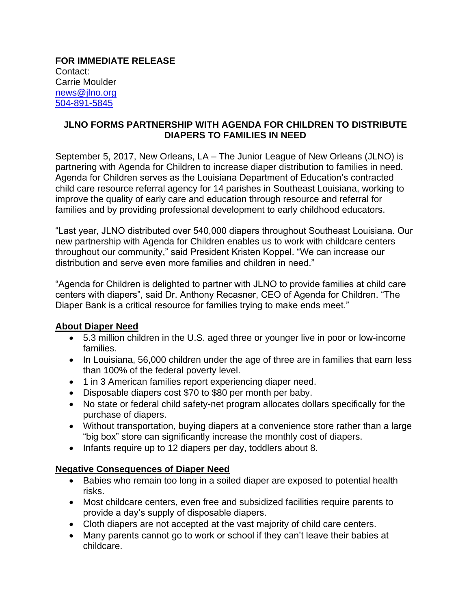**FOR IMMEDIATE RELEASE** Contact: Carrie Moulder [news@jlno.org](mailto:news@jlno.org) [504-891-5845](tel:504-891-5845)

## **JLNO FORMS PARTNERSHIP WITH AGENDA FOR CHILDREN TO DISTRIBUTE DIAPERS TO FAMILIES IN NEED**

September 5, 2017, New Orleans, LA – The Junior League of New Orleans (JLNO) is partnering with Agenda for Children to increase diaper distribution to families in need. Agenda for Children serves as the Louisiana Department of Education's contracted child care resource referral agency for 14 parishes in Southeast Louisiana, working to improve the quality of early care and education through resource and referral for families and by providing professional development to early childhood educators.

"Last year, JLNO distributed over 540,000 diapers throughout Southeast Louisiana. Our new partnership with Agenda for Children enables us to work with childcare centers throughout our community," said President Kristen Koppel. "We can increase our distribution and serve even more families and children in need."

"Agenda for Children is delighted to partner with JLNO to provide families at child care centers with diapers", said Dr. Anthony Recasner, CEO of Agenda for Children. "The Diaper Bank is a critical resource for families trying to make ends meet."

## **About Diaper Need**

- 5.3 million children in the U.S. aged three or younger live in poor or low-income families.
- In Louisiana, 56,000 children under the age of three are in families that earn less than 100% of the federal poverty level.
- 1 in 3 American families report experiencing diaper need.
- Disposable diapers cost \$70 to \$80 per month per baby.
- No state or federal child safety-net program allocates dollars specifically for the purchase of diapers.
- Without transportation, buying diapers at a convenience store rather than a large "big box" store can significantly increase the monthly cost of diapers.
- Infants require up to 12 diapers per day, toddlers about 8.

## **Negative Consequences of Diaper Need**

- Babies who remain too long in a soiled diaper are exposed to potential health risks.
- Most childcare centers, even free and subsidized facilities require parents to provide a day's supply of disposable diapers.
- Cloth diapers are not accepted at the vast majority of child care centers.
- Many parents cannot go to work or school if they can't leave their babies at childcare.